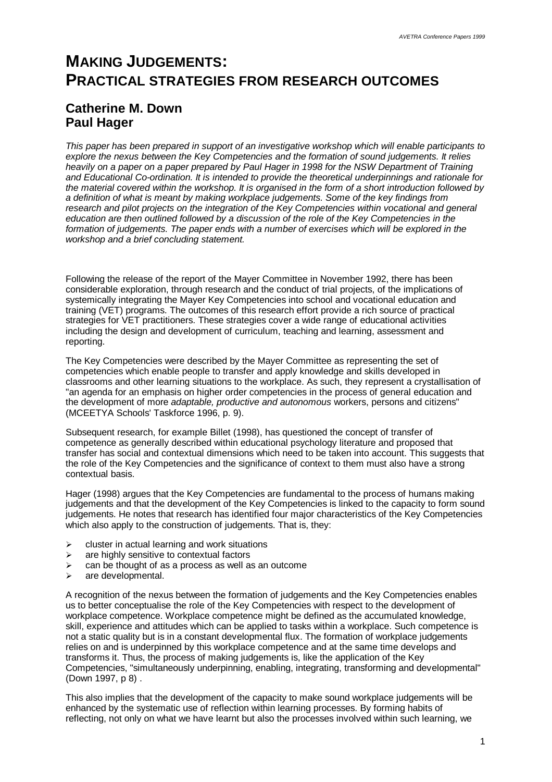# **MAKING JUDGEMENTS: PRACTICAL STRATEGIES FROM RESEARCH OUTCOMES**

# **Catherine M. Down Paul Hager**

*This paper has been prepared in support of an investigative workshop which will enable participants to explore the nexus between the Key Competencies and the formation of sound judgements. It relies heavily on a paper on a paper prepared by Paul Hager in 1998 for the NSW Department of Training and Educational Co-ordination. It is intended to provide the theoretical underpinnings and rationale for the material covered within the workshop. It is organised in the form of a short introduction followed by a definition of what is meant by making workplace judgements. Some of the key findings from research and pilot projects on the integration of the Key Competencies within vocational and general education are then outlined followed by a discussion of the role of the Key Competencies in the formation of judgements. The paper ends with a number of exercises which will be explored in the workshop and a brief concluding statement.*

Following the release of the report of the Mayer Committee in November 1992, there has been considerable exploration, through research and the conduct of trial projects, of the implications of systemically integrating the Mayer Key Competencies into school and vocational education and training (VET) programs. The outcomes of this research effort provide a rich source of practical strategies for VET practitioners. These strategies cover a wide range of educational activities including the design and development of curriculum, teaching and learning, assessment and reporting.

The Key Competencies were described by the Mayer Committee as representing the set of competencies which enable people to transfer and apply knowledge and skills developed in classrooms and other learning situations to the workplace. As such, they represent a crystallisation of "an agenda for an emphasis on higher order competencies in the process of general education and the development of more *adaptable, productive and autonomous* workers, persons and citizens" (MCEETYA Schools' Taskforce 1996, p. 9).

Subsequent research, for example Billet (1998), has questioned the concept of transfer of competence as generally described within educational psychology literature and proposed that transfer has social and contextual dimensions which need to be taken into account. This suggests that the role of the Key Competencies and the significance of context to them must also have a strong contextual basis.

Hager (1998) argues that the Key Competencies are fundamental to the process of humans making judgements and that the development of the Key Competencies is linked to the capacity to form sound iudgements. He notes that research has identified four major characteristics of the Key Competencies which also apply to the construction of judgements. That is, they:

- $\triangleright$  cluster in actual learning and work situations
- $\geq$  are highly sensitive to contextual factors
- $\ge$  can be thought of as a process as well as an outcome
- $\triangleright$  are developmental.

A recognition of the nexus between the formation of judgements and the Key Competencies enables us to better conceptualise the role of the Key Competencies with respect to the development of workplace competence. Workplace competence might be defined as the accumulated knowledge. skill, experience and attitudes which can be applied to tasks within a workplace. Such competence is not a static quality but is in a constant developmental flux. The formation of workplace judgements relies on and is underpinned by this workplace competence and at the same time develops and transforms it. Thus, the process of making judgements is, like the application of the Key Competencies, "simultaneously underpinning, enabling, integrating, transforming and developmental" (Down 1997, p 8) .

This also implies that the development of the capacity to make sound workplace judgements will be enhanced by the systematic use of reflection within learning processes. By forming habits of reflecting, not only on what we have learnt but also the processes involved within such learning, we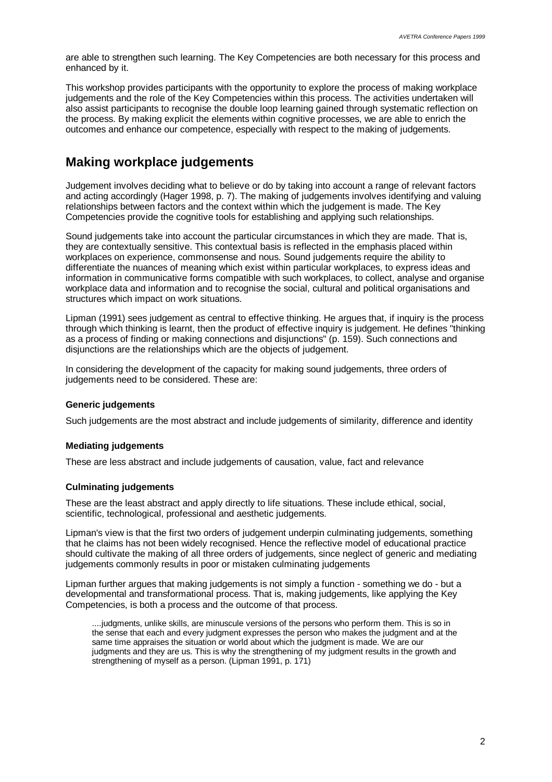are able to strengthen such learning. The Key Competencies are both necessary for this process and enhanced by it.

This workshop provides participants with the opportunity to explore the process of making workplace judgements and the role of the Key Competencies within this process. The activities undertaken will also assist participants to recognise the double loop learning gained through systematic reflection on the process. By making explicit the elements within cognitive processes, we are able to enrich the outcomes and enhance our competence, especially with respect to the making of judgements.

## **Making workplace judgements**

Judgement involves deciding what to believe or do by taking into account a range of relevant factors and acting accordingly (Hager 1998, p. 7). The making of judgements involves identifying and valuing relationships between factors and the context within which the judgement is made. The Key Competencies provide the cognitive tools for establishing and applying such relationships.

Sound judgements take into account the particular circumstances in which they are made. That is, they are contextually sensitive. This contextual basis is reflected in the emphasis placed within workplaces on experience, commonsense and nous. Sound judgements require the ability to differentiate the nuances of meaning which exist within particular workplaces, to express ideas and information in communicative forms compatible with such workplaces, to collect, analyse and organise workplace data and information and to recognise the social, cultural and political organisations and structures which impact on work situations.

Lipman (1991) sees judgement as central to effective thinking. He argues that, if inquiry is the process through which thinking is learnt, then the product of effective inquiry is judgement. He defines "thinking as a process of finding or making connections and disjunctions" (p. 159). Such connections and disjunctions are the relationships which are the objects of judgement.

In considering the development of the capacity for making sound judgements, three orders of judgements need to be considered. These are:

### **Generic judgements**

Such judgements are the most abstract and include judgements of similarity, difference and identity

### **Mediating judgements**

These are less abstract and include judgements of causation, value, fact and relevance

### **Culminating judgements**

These are the least abstract and apply directly to life situations. These include ethical, social, scientific, technological, professional and aesthetic judgements.

Lipman's view is that the first two orders of judgement underpin culminating judgements, something that he claims has not been widely recognised. Hence the reflective model of educational practice should cultivate the making of all three orders of judgements, since neglect of generic and mediating judgements commonly results in poor or mistaken culminating judgements

Lipman further argues that making judgements is not simply a function - something we do - but a developmental and transformational process. That is, making judgements, like applying the Key Competencies, is both a process and the outcome of that process.

....judgments, unlike skills, are minuscule versions of the persons who perform them. This is so in the sense that each and every judgment expresses the person who makes the judgment and at the same time appraises the situation or world about which the judgment is made. We are our judgments and they are us. This is why the strengthening of my judgment results in the growth and strengthening of myself as a person. (Lipman 1991, p. 171)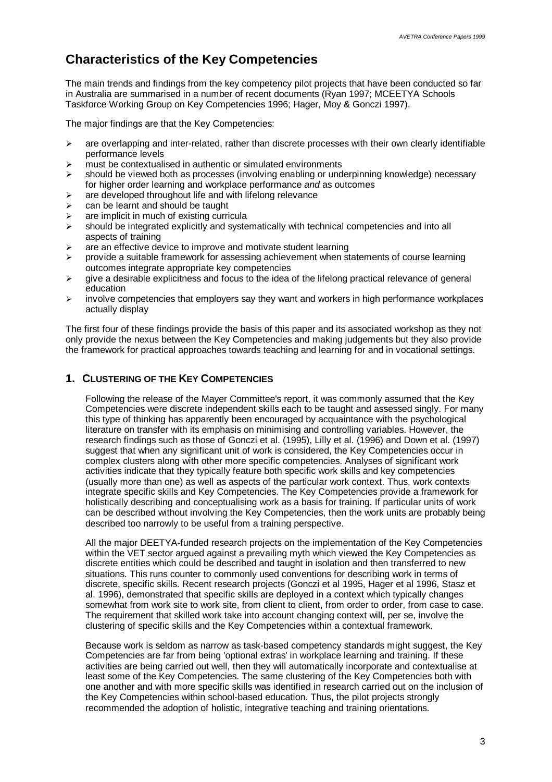# **Characteristics of the Key Competencies**

The main trends and findings from the key competency pilot projects that have been conducted so far in Australia are summarised in a number of recent documents (Ryan 1997; MCEETYA Schools Taskforce Working Group on Key Competencies 1996; Hager, Moy & Gonczi 1997).

The major findings are that the Key Competencies:

- $\geq$  are overlapping and inter-related, rather than discrete processes with their own clearly identifiable performance levels
- $\triangleright$  must be contextualised in authentic or simulated environments
- $\triangleright$  should be viewed both as processes (involving enabling or underpinning knowledge) necessary for higher order learning and workplace performance *and* as outcomes
- $\triangleright$  are developed throughout life and with lifelong relevance
- $\geq$  can be learnt and should be taught
- $\geq$  are implicit in much of existing curricula
- $\triangleright$  should be integrated explicitly and systematically with technical competencies and into all aspects of training
- $\triangleright$  are an effective device to improve and motivate student learning
- $\triangleright$  provide a suitable framework for assessing achievement when statements of course learning outcomes integrate appropriate key competencies
- $\triangleright$  give a desirable explicitness and focus to the idea of the lifelong practical relevance of general education
- $\triangleright$  involve competencies that employers say they want and workers in high performance workplaces actually display

The first four of these findings provide the basis of this paper and its associated workshop as they not only provide the nexus between the Key Competencies and making judgements but they also provide the framework for practical approaches towards teaching and learning for and in vocational settings.

### **1. CLUSTERING OF THE KEY COMPETENCIES**

Following the release of the Mayer Committee's report, it was commonly assumed that the Key Competencies were discrete independent skills each to be taught and assessed singly. For many this type of thinking has apparently been encouraged by acquaintance with the psychological literature on transfer with its emphasis on minimising and controlling variables. However, the research findings such as those of Gonczi et al. (1995), Lilly et al. (1996) and Down et al. (1997) suggest that when any significant unit of work is considered, the Key Competencies occur in complex clusters along with other more specific competencies. Analyses of significant work activities indicate that they typically feature both specific work skills and key competencies (usually more than one) as well as aspects of the particular work context. Thus, work contexts integrate specific skills and Key Competencies. The Key Competencies provide a framework for holistically describing and conceptualising work as a basis for training. If particular units of work can be described without involving the Key Competencies, then the work units are probably being described too narrowly to be useful from a training perspective.

All the major DEETYA-funded research projects on the implementation of the Key Competencies within the VET sector argued against a prevailing myth which viewed the Key Competencies as discrete entities which could be described and taught in isolation and then transferred to new situations. This runs counter to commonly used conventions for describing work in terms of discrete, specific skills. Recent research projects (Gonczi et al 1995, Hager et al 1996, Stasz et al. 1996), demonstrated that specific skills are deployed in a context which typically changes somewhat from work site to work site, from client to client, from order to order, from case to case. The requirement that skilled work take into account changing context will, per se, involve the clustering of specific skills and the Key Competencies within a contextual framework.

Because work is seldom as narrow as task-based competency standards might suggest, the Key Competencies are far from being 'optional extras' in workplace learning and training. If these activities are being carried out well, then they will automatically incorporate and contextualise at least some of the Key Competencies. The same clustering of the Key Competencies both with one another and with more specific skills was identified in research carried out on the inclusion of the Key Competencies within school-based education. Thus, the pilot projects strongly recommended the adoption of holistic, integrative teaching and training orientations.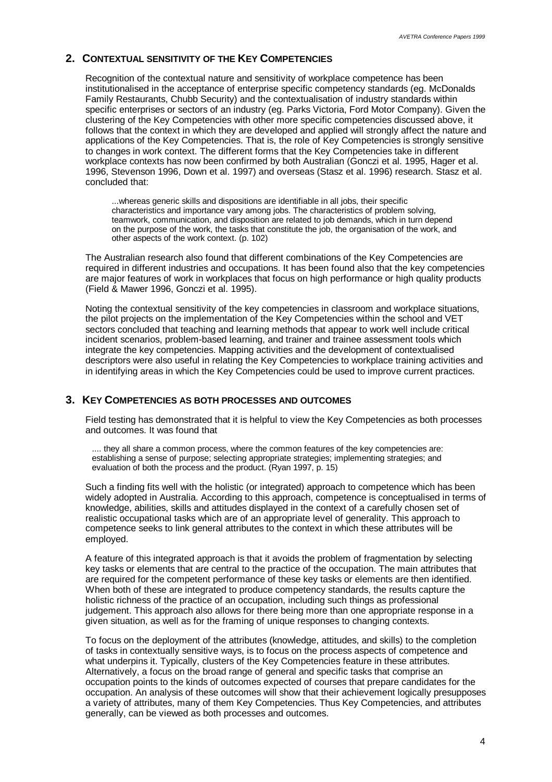### **2. CONTEXTUAL SENSITIVITY OF THE KEY COMPETENCIES**

Recognition of the contextual nature and sensitivity of workplace competence has been institutionalised in the acceptance of enterprise specific competency standards (eg. McDonalds Family Restaurants, Chubb Security) and the contextualisation of industry standards within specific enterprises or sectors of an industry (eg. Parks Victoria, Ford Motor Company). Given the clustering of the Key Competencies with other more specific competencies discussed above, it follows that the context in which they are developed and applied will strongly affect the nature and applications of the Key Competencies. That is, the role of Key Competencies is strongly sensitive to changes in work context. The different forms that the Key Competencies take in different workplace contexts has now been confirmed by both Australian (Gonczi et al. 1995, Hager et al. 1996, Stevenson 1996, Down et al. 1997) and overseas (Stasz et al. 1996) research. Stasz et al. concluded that:

...whereas generic skills and dispositions are identifiable in all jobs, their specific characteristics and importance vary among jobs. The characteristics of problem solving, teamwork, communication, and disposition are related to job demands, which in turn depend on the purpose of the work, the tasks that constitute the job, the organisation of the work, and other aspects of the work context. (p. 102)

The Australian research also found that different combinations of the Key Competencies are required in different industries and occupations. It has been found also that the key competencies are major features of work in workplaces that focus on high performance or high quality products (Field & Mawer 1996, Gonczi et al. 1995).

Noting the contextual sensitivity of the key competencies in classroom and workplace situations, the pilot projects on the implementation of the Key Competencies within the school and VET sectors concluded that teaching and learning methods that appear to work well include critical incident scenarios, problem-based learning, and trainer and trainee assessment tools which integrate the key competencies. Mapping activities and the development of contextualised descriptors were also useful in relating the Key Competencies to workplace training activities and in identifying areas in which the Key Competencies could be used to improve current practices.

### **3. KEY COMPETENCIES AS BOTH PROCESSES AND OUTCOMES**

Field testing has demonstrated that it is helpful to view the Key Competencies as both processes and outcomes. It was found that

.... they all share a common process, where the common features of the key competencies are: establishing a sense of purpose; selecting appropriate strategies; implementing strategies; and evaluation of both the process and the product. (Ryan 1997, p. 15)

Such a finding fits well with the holistic (or integrated) approach to competence which has been widely adopted in Australia. According to this approach, competence is conceptualised in terms of knowledge, abilities, skills and attitudes displayed in the context of a carefully chosen set of realistic occupational tasks which are of an appropriate level of generality. This approach to competence seeks to link general attributes to the context in which these attributes will be employed.

A feature of this integrated approach is that it avoids the problem of fragmentation by selecting key tasks or elements that are central to the practice of the occupation. The main attributes that are required for the competent performance of these key tasks or elements are then identified. When both of these are integrated to produce competency standards, the results capture the holistic richness of the practice of an occupation, including such things as professional judgement. This approach also allows for there being more than one appropriate response in a given situation, as well as for the framing of unique responses to changing contexts.

To focus on the deployment of the attributes (knowledge, attitudes, and skills) to the completion of tasks in contextually sensitive ways, is to focus on the process aspects of competence and what underpins it. Typically, clusters of the Key Competencies feature in these attributes. Alternatively, a focus on the broad range of general and specific tasks that comprise an occupation points to the kinds of outcomes expected of courses that prepare candidates for the occupation. An analysis of these outcomes will show that their achievement logically presupposes a variety of attributes, many of them Key Competencies. Thus Key Competencies, and attributes generally, can be viewed as both processes and outcomes.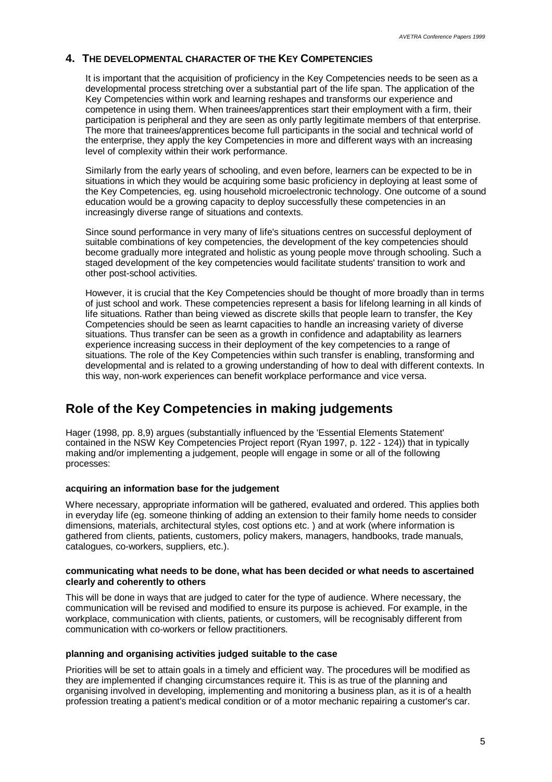### **4. THE DEVELOPMENTAL CHARACTER OF THE KEY COMPETENCIES**

It is important that the acquisition of proficiency in the Key Competencies needs to be seen as a developmental process stretching over a substantial part of the life span. The application of the Key Competencies within work and learning reshapes and transforms our experience and competence in using them. When trainees/apprentices start their employment with a firm, their participation is peripheral and they are seen as only partly legitimate members of that enterprise. The more that trainees/apprentices become full participants in the social and technical world of the enterprise, they apply the key Competencies in more and different ways with an increasing level of complexity within their work performance.

Similarly from the early years of schooling, and even before, learners can be expected to be in situations in which they would be acquiring some basic proficiency in deploying at least some of the Key Competencies, eg. using household microelectronic technology. One outcome of a sound education would be a growing capacity to deploy successfully these competencies in an increasingly diverse range of situations and contexts.

Since sound performance in very many of life's situations centres on successful deployment of suitable combinations of key competencies, the development of the key competencies should become gradually more integrated and holistic as young people move through schooling. Such a staged development of the key competencies would facilitate students' transition to work and other post-school activities.

However, it is crucial that the Key Competencies should be thought of more broadly than in terms of just school and work. These competencies represent a basis for lifelong learning in all kinds of life situations. Rather than being viewed as discrete skills that people learn to transfer, the Key Competencies should be seen as learnt capacities to handle an increasing variety of diverse situations. Thus transfer can be seen as a growth in confidence and adaptability as learners experience increasing success in their deployment of the key competencies to a range of situations. The role of the Key Competencies within such transfer is enabling, transforming and developmental and is related to a growing understanding of how to deal with different contexts. In this way, non-work experiences can benefit workplace performance and vice versa.

### **Role of the Key Competencies in making judgements**

Hager (1998, pp. 8,9) argues (substantially influenced by the 'Essential Elements Statement' contained in the NSW Key Competencies Project report (Ryan 1997, p. 122 - 124)) that in typically making and/or implementing a judgement, people will engage in some or all of the following processes:

### **acquiring an information base for the judgement**

Where necessary, appropriate information will be gathered, evaluated and ordered. This applies both in everyday life (eg. someone thinking of adding an extension to their family home needs to consider dimensions, materials, architectural styles, cost options etc. ) and at work (where information is gathered from clients, patients, customers, policy makers, managers, handbooks, trade manuals, catalogues, co-workers, suppliers, etc.).

#### **communicating what needs to be done, what has been decided or what needs to ascertained clearly and coherently to others**

This will be done in ways that are judged to cater for the type of audience. Where necessary, the communication will be revised and modified to ensure its purpose is achieved. For example, in the workplace, communication with clients, patients, or customers, will be recognisably different from communication with co-workers or fellow practitioners.

#### **planning and organising activities judged suitable to the case**

Priorities will be set to attain goals in a timely and efficient way. The procedures will be modified as they are implemented if changing circumstances require it. This is as true of the planning and organising involved in developing, implementing and monitoring a business plan, as it is of a health profession treating a patient's medical condition or of a motor mechanic repairing a customer's car.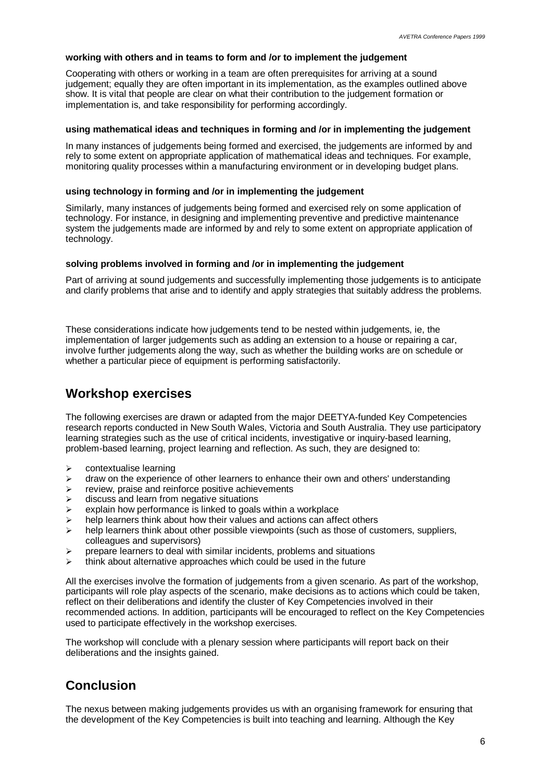#### **working with others and in teams to form and /or to implement the judgement**

Cooperating with others or working in a team are often prerequisites for arriving at a sound judgement; equally they are often important in its implementation, as the examples outlined above show. It is vital that people are clear on what their contribution to the judgement formation or implementation is, and take responsibility for performing accordingly.

#### **using mathematical ideas and techniques in forming and /or in implementing the judgement**

In many instances of judgements being formed and exercised, the judgements are informed by and rely to some extent on appropriate application of mathematical ideas and techniques. For example, monitoring quality processes within a manufacturing environment or in developing budget plans.

### **using technology in forming and /or in implementing the judgement**

Similarly, many instances of judgements being formed and exercised rely on some application of technology. For instance, in designing and implementing preventive and predictive maintenance system the judgements made are informed by and rely to some extent on appropriate application of technology.

#### **solving problems involved in forming and /or in implementing the judgement**

Part of arriving at sound judgements and successfully implementing those judgements is to anticipate and clarify problems that arise and to identify and apply strategies that suitably address the problems.

These considerations indicate how judgements tend to be nested within judgements, ie, the implementation of larger judgements such as adding an extension to a house or repairing a car, involve further judgements along the way, such as whether the building works are on schedule or whether a particular piece of equipment is performing satisfactorily.

### **Workshop exercises**

The following exercises are drawn or adapted from the major DEETYA-funded Key Competencies research reports conducted in New South Wales, Victoria and South Australia. They use participatory learning strategies such as the use of critical incidents, investigative or inquiry-based learning, problem-based learning, project learning and reflection. As such, they are designed to:

- $\triangleright$  contextualise learning
- $\geq$  draw on the experience of other learners to enhance their own and others' understanding
- $\triangleright$  review, praise and reinforce positive achievements
- $\triangleright$  discuss and learn from negative situations
- $\triangleright$  explain how performance is linked to goals within a workplace
- $\triangleright$  help learners think about how their values and actions can affect others
- $\triangleright$  help learners think about other possible viewpoints (such as those of customers, suppliers, colleagues and supervisors)
- $\triangleright$  prepare learners to deal with similar incidents, problems and situations
- $\triangleright$  think about alternative approaches which could be used in the future

All the exercises involve the formation of judgements from a given scenario. As part of the workshop, participants will role play aspects of the scenario, make decisions as to actions which could be taken, reflect on their deliberations and identify the cluster of Key Competencies involved in their recommended actions. In addition, participants will be encouraged to reflect on the Key Competencies used to participate effectively in the workshop exercises.

The workshop will conclude with a plenary session where participants will report back on their deliberations and the insights gained.

### **Conclusion**

The nexus between making judgements provides us with an organising framework for ensuring that the development of the Key Competencies is built into teaching and learning. Although the Key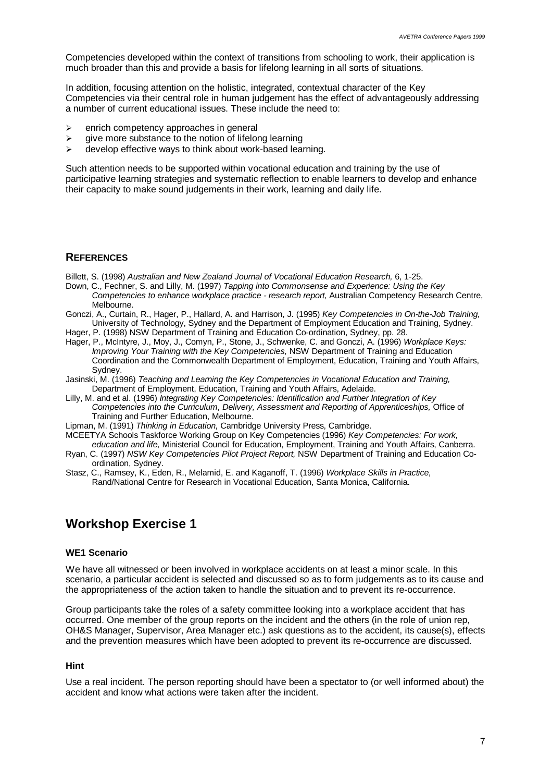Competencies developed within the context of transitions from schooling to work, their application is much broader than this and provide a basis for lifelong learning in all sorts of situations.

In addition, focusing attention on the holistic, integrated, contextual character of the Key Competencies via their central role in human judgement has the effect of advantageously addressing a number of current educational issues. These include the need to:

- $\ge$  enrich competency approaches in general
- $\geq$  give more substance to the notion of lifelong learning
- $\triangleright$  develop effective ways to think about work-based learning.

Such attention needs to be supported within vocational education and training by the use of participative learning strategies and systematic reflection to enable learners to develop and enhance their capacity to make sound judgements in their work, learning and daily life.

### **REFERENCES**

- Billett, S. (1998) *Australian and New Zealand Journal of Vocational Education Research,* 6, 1-25.
- Down, C., Fechner, S. and Lilly, M. (1997) *Tapping into Commonsense and Experience: Using the Key Competencies to enhance workplace practice - research report,* Australian Competency Research Centre, Melbourne.
- Gonczi, A., Curtain, R., Hager, P., Hallard, A. and Harrison, J. (1995) *Key Competencies in On-the-Job Training,* University of Technology, Sydney and the Department of Employment Education and Training, Sydney.
- Hager, P. (1998) NSW Department of Training and Education Co-ordination, Sydney, pp. 28.
- Hager, P., McIntyre, J., Moy, J., Comyn, P., Stone, J., Schwenke, C. and Gonczi, A. (1996) *Workplace Keys: Improving Your Training with the Key Competencies, NSW Department of Training and Education* Coordination and the Commonwealth Department of Employment, Education, Training and Youth Affairs, Sydney.
- Jasinski, M. (1996) *Teaching and Learning the Key Competencies in Vocational Education and Training,* Department of Employment, Education, Training and Youth Affairs, Adelaide.
- Lilly, M. and et al. (1996) *Integrating Key Competencies: Identification and Further Integration of Key Competencies into the Curriculum, Delivery, Assessment and Reporting of Apprenticeships,* Office of Training and Further Education, Melbourne.
- Lipman, M. (1991) *Thinking in Education,* Cambridge University Press, Cambridge.
- MCEETYA Schools Taskforce Working Group on Key Competencies (1996) *Key Competencies: For work, education and life,* Ministerial Council for Education, Employment, Training and Youth Affairs, Canberra.
- Ryan, C. (1997) *NSW Key Competencies Pilot Project Report,* NSW Department of Training and Education Coordination, Sydney.
- Stasz, C., Ramsey, K., Eden, R., Melamid, E. and Kaganoff, T. (1996) *Workplace Skills in Practice,* Rand/National Centre for Research in Vocational Education, Santa Monica, California.

### **Workshop Exercise 1**

### **WE1 Scenario**

We have all witnessed or been involved in workplace accidents on at least a minor scale. In this scenario, a particular accident is selected and discussed so as to form judgements as to its cause and the appropriateness of the action taken to handle the situation and to prevent its re-occurrence.

Group participants take the roles of a safety committee looking into a workplace accident that has occurred. One member of the group reports on the incident and the others (in the role of union rep, OH&S Manager, Supervisor, Area Manager etc.) ask questions as to the accident, its cause(s), effects and the prevention measures which have been adopted to prevent its re-occurrence are discussed.

### **Hint**

Use a real incident. The person reporting should have been a spectator to (or well informed about) the accident and know what actions were taken after the incident.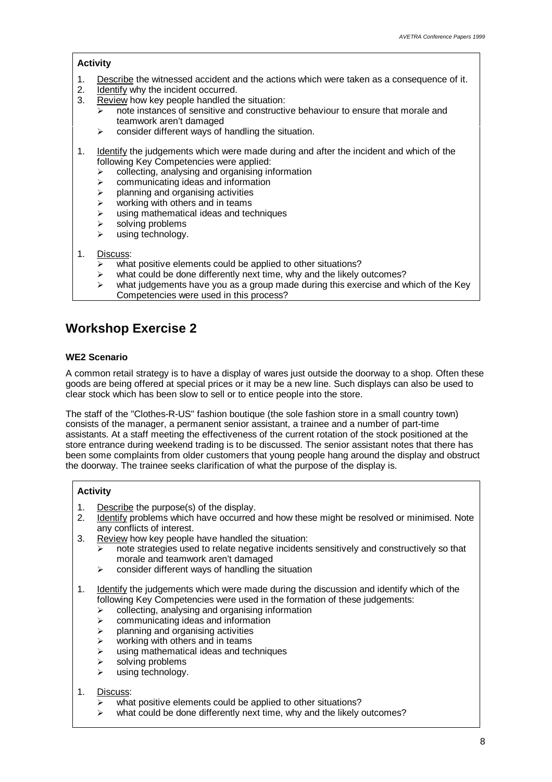### **Activity**

- 1. Describe the witnessed accident and the actions which were taken as a consequence of it.
- 2. Identify why the incident occurred.
- 3. Review how key people handled the situation:
	- $\triangleright$  note instances of sensitive and constructive behaviour to ensure that morale and teamwork aren't damaged
	- $\triangleright$  consider different ways of handling the situation.
- 1. Identify the judgements which were made during and after the incident and which of the following Key Competencies were applied:
	- $\ge$  collecting, analysing and organising information
	- $\ge$  communicating ideas and information
	- $\triangleright$  planning and organising activities
	- $\triangleright$  working with others and in teams
	- $\triangleright$  using mathematical ideas and techniques
	- $\triangleright$  solving problems
	- using technology.

### 1. Discuss:

- $\triangleright$  what positive elements could be applied to other situations?
- $\triangleright$  what could be done differently next time, why and the likely outcomes?
- $\triangleright$  what judgements have you as a group made during this exercise and which of the Key Competencies were used in this process?

### **Workshop Exercise 2**

### **WE2 Scenario**

A common retail strategy is to have a display of wares just outside the doorway to a shop. Often these goods are being offered at special prices or it may be a new line. Such displays can also be used to clear stock which has been slow to sell or to entice people into the store.

The staff of the "Clothes-R-US" fashion boutique (the sole fashion store in a small country town) consists of the manager, a permanent senior assistant, a trainee and a number of part-time assistants. At a staff meeting the effectiveness of the current rotation of the stock positioned at the store entrance during weekend trading is to be discussed. The senior assistant notes that there has been some complaints from older customers that young people hang around the display and obstruct the doorway. The trainee seeks clarification of what the purpose of the display is.

### **Activity**

- 1. Describe the purpose(s) of the display.
- 2. Identify problems which have occurred and how these might be resolved or minimised. Note any conflicts of interest.
- 3. Review how key people have handled the situation:
	- $\triangleright$  note strategies used to relate negative incidents sensitively and constructively so that morale and teamwork aren't damaged
	- $\triangleright$  consider different ways of handling the situation
- 1. Identify the judgements which were made during the discussion and identify which of the following Key Competencies were used in the formation of these judgements:
	- $\ge$  collecting, analysing and organising information
	- $\geq$  communicating ideas and information
	- $\triangleright$  planning and organising activities
	- $\triangleright$  working with others and in teams
	- $\triangleright$  using mathematical ideas and techniques
	- $\triangleright$  solving problems
	- $\triangleright$  using technology.

### 1. Discuss:

- what positive elements could be applied to other situations?
- $\triangleright$  what could be done differently next time, why and the likely outcomes?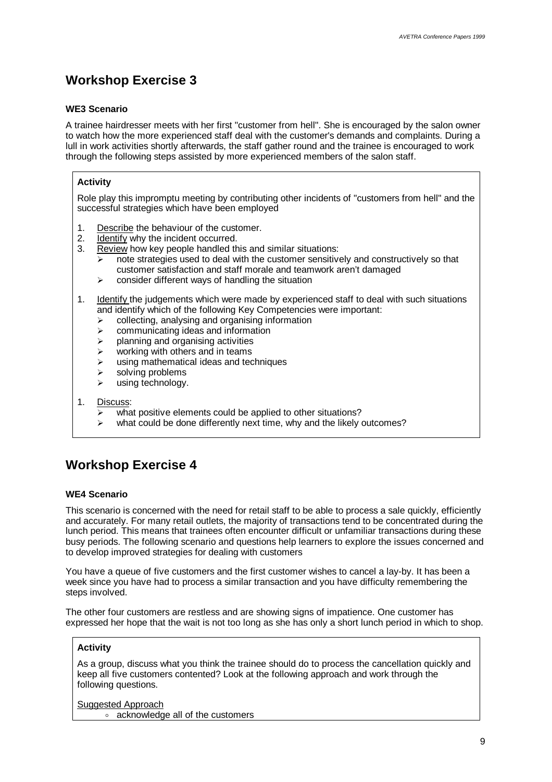# **Workshop Exercise 3**

### **WE3 Scenario**

A trainee hairdresser meets with her first "customer from hell". She is encouraged by the salon owner to watch how the more experienced staff deal with the customer's demands and complaints. During a lull in work activities shortly afterwards, the staff gather round and the trainee is encouraged to work through the following steps assisted by more experienced members of the salon staff.

### **Activity**

Role play this impromptu meeting by contributing other incidents of "customers from hell" and the successful strategies which have been employed

- 1. Describe the behaviour of the customer.
- 2. Identify why the incident occurred.
- 3. Review how key people handled this and similar situations:
	- $\overline{\triangleright}$  note strategies used to deal with the customer sensitively and constructively so that customer satisfaction and staff morale and teamwork aren't damaged
	- $\ge$  consider different ways of handling the situation
- 1. Identify the judgements which were made by experienced staff to deal with such situations and identify which of the following Key Competencies were important:
	- $\ge$  collecting, analysing and organising information
	- $\triangleright$  communicating ideas and information
	- $\triangleright$  planning and organising activities
	- $\triangleright$  working with others and in teams
	- $\geq$  using mathematical ideas and techniques
	- $\triangleright$  solving problems
	- $\triangleright$  using technology.
- 1. Discuss:
	- $\overline{w}$  what positive elements could be applied to other situations?
	- what could be done differently next time, why and the likely outcomes?

# **Workshop Exercise 4**

### **WE4 Scenario**

This scenario is concerned with the need for retail staff to be able to process a sale quickly, efficiently and accurately. For many retail outlets, the majority of transactions tend to be concentrated during the lunch period. This means that trainees often encounter difficult or unfamiliar transactions during these busy periods. The following scenario and questions help learners to explore the issues concerned and to develop improved strategies for dealing with customers

You have a queue of five customers and the first customer wishes to cancel a lay-by. It has been a week since you have had to process a similar transaction and you have difficulty remembering the steps involved.

The other four customers are restless and are showing signs of impatience. One customer has expressed her hope that the wait is not too long as she has only a short lunch period in which to shop.

### **Activity**

As a group, discuss what you think the trainee should do to process the cancellation quickly and keep all five customers contented? Look at the following approach and work through the following questions.

Suggested Approach o acknowledge all of the customers